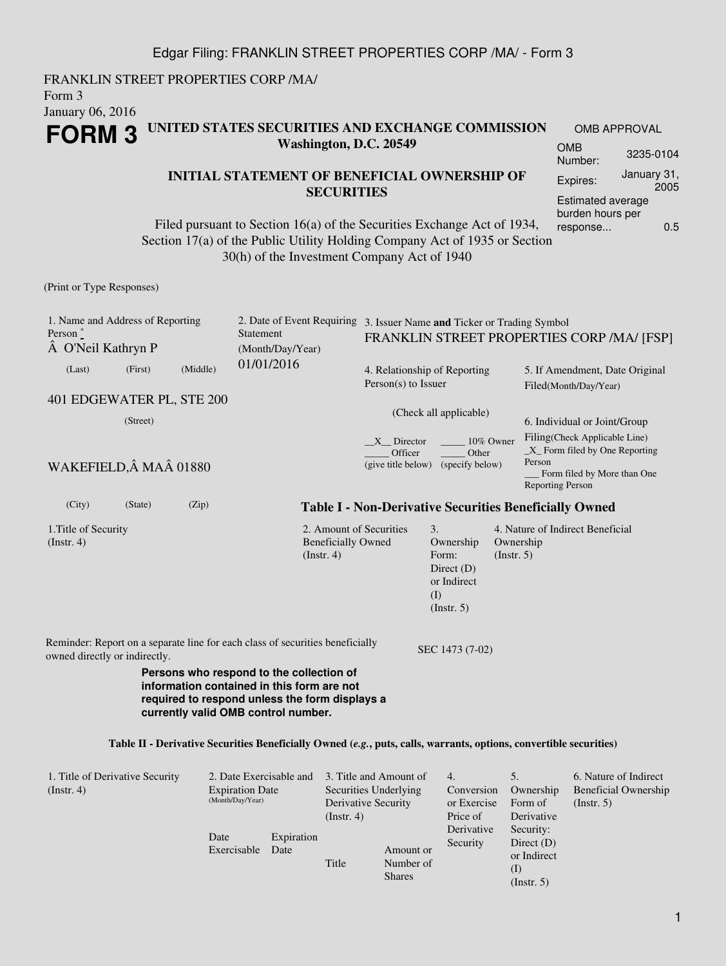### Edgar Filing: FRANKLIN STREET PROPERTIES CORP /MA/ - Form 3

FRANKLIN STREET PROPERTIES CORP /MA/ Form 3 January 06, 2016 **FORM 3 UNITED STATES SECURITIES AND EXCHANGE COMMISSION Washington, D.C. 20549**

Date

Exercisable Date

Expiration

Title

#### **INITIAL STATEMENT OF BENEFICIAL OWNERSHIP OF SECURITIES**

Filed pursuant to Section 16(a) of the Securities Exchange Act of 1934, Section 17(a) of the Public Utility Holding Company Act of 1935 or Section 30(h) of the Investment Company Act of 1940

(Print or Type Responses)

| 1. Name and Address of Reporting<br>Person $*$<br>O'Neil Kathryn P                                                                                                              |          |          | Statement<br>(Month/Day/Year)                                         |                                                                                                                    | 2. Date of Event Requiring 3. Issuer Name and Ticker or Trading Symbol<br>FRANKLIN STREET PROPERTIES CORP /MA/ [FSP] |                                                      |                                                                                                                                                                                                                                 |  |  |  |  |  |  |
|---------------------------------------------------------------------------------------------------------------------------------------------------------------------------------|----------|----------|-----------------------------------------------------------------------|--------------------------------------------------------------------------------------------------------------------|----------------------------------------------------------------------------------------------------------------------|------------------------------------------------------|---------------------------------------------------------------------------------------------------------------------------------------------------------------------------------------------------------------------------------|--|--|--|--|--|--|
| (Last)                                                                                                                                                                          | (First)  | (Middle) | 01/01/2016                                                            | $Person(s)$ to Issuer                                                                                              | 4. Relationship of Reporting                                                                                         |                                                      | 5. If Amendment, Date Original<br>Filed(Month/Day/Year)<br>6. Individual or Joint/Group<br>Filing(Check Applicable Line)<br>$X$ Form filed by One Reporting<br>Person<br>Form filed by More than One<br><b>Reporting Person</b> |  |  |  |  |  |  |
| 401 EDGEWATER PL, STE 200<br>WAKEFIELD, Â MAÂ 01880                                                                                                                             | (Street) |          |                                                                       | X Director<br>Officer<br>(give title below)                                                                        | (Check all applicable)<br>10% Owner<br>Other<br>(specify below)                                                      |                                                      |                                                                                                                                                                                                                                 |  |  |  |  |  |  |
| (City)                                                                                                                                                                          | (State)  | (Zip)    |                                                                       |                                                                                                                    | <b>Table I - Non-Derivative Securities Beneficially Owned</b>                                                        |                                                      |                                                                                                                                                                                                                                 |  |  |  |  |  |  |
| 1. Title of Security<br>(Insert. 4)                                                                                                                                             |          |          | (Instr. 4)                                                            | 2. Amount of Securities<br><b>Beneficially Owned</b>                                                               | 3.<br>Ownership<br>Form:<br>Direct $(D)$<br>or Indirect<br>(I)<br>(Insert. 5)                                        | Ownership<br>(Insert. 5)                             | 4. Nature of Indirect Beneficial                                                                                                                                                                                                |  |  |  |  |  |  |
| Reminder: Report on a separate line for each class of securities beneficially<br>SEC 1473 (7-02)<br>owned directly or indirectly.                                               |          |          |                                                                       |                                                                                                                    |                                                                                                                      |                                                      |                                                                                                                                                                                                                                 |  |  |  |  |  |  |
| Persons who respond to the collection of<br>information contained in this form are not<br>required to respond unless the form displays a<br>currently valid OMB control number. |          |          |                                                                       |                                                                                                                    |                                                                                                                      |                                                      |                                                                                                                                                                                                                                 |  |  |  |  |  |  |
|                                                                                                                                                                                 |          |          |                                                                       | Table II - Derivative Securities Beneficially Owned (e.g., puts, calls, warrants, options, convertible securities) |                                                                                                                      |                                                      |                                                                                                                                                                                                                                 |  |  |  |  |  |  |
| 1. Title of Derivative Security<br>(Insert. 4)                                                                                                                                  |          |          | 2. Date Exercisable and<br><b>Expiration Date</b><br>(Month/Day/Year) | 3. Title and Amount of<br>Securities Underlying<br>Derivative Security<br>(Insert. 4)                              | 4.<br>Conversion<br>or Exercise<br>Price of                                                                          | 5 <sub>1</sub><br>Ownership<br>Form of<br>Derivative | 6. Nature of Indirect<br><b>Beneficial Ownership</b><br>(Insert. 5)                                                                                                                                                             |  |  |  |  |  |  |

Derivative Security

Amount or Number of Shares

Security: Direct (D) or Indirect (I) (Instr. 5)

OMB APPROVAL OMB

Number: 3235-0104 Expires: January 31, 2005 Estimated average burden hours per response... 0.5